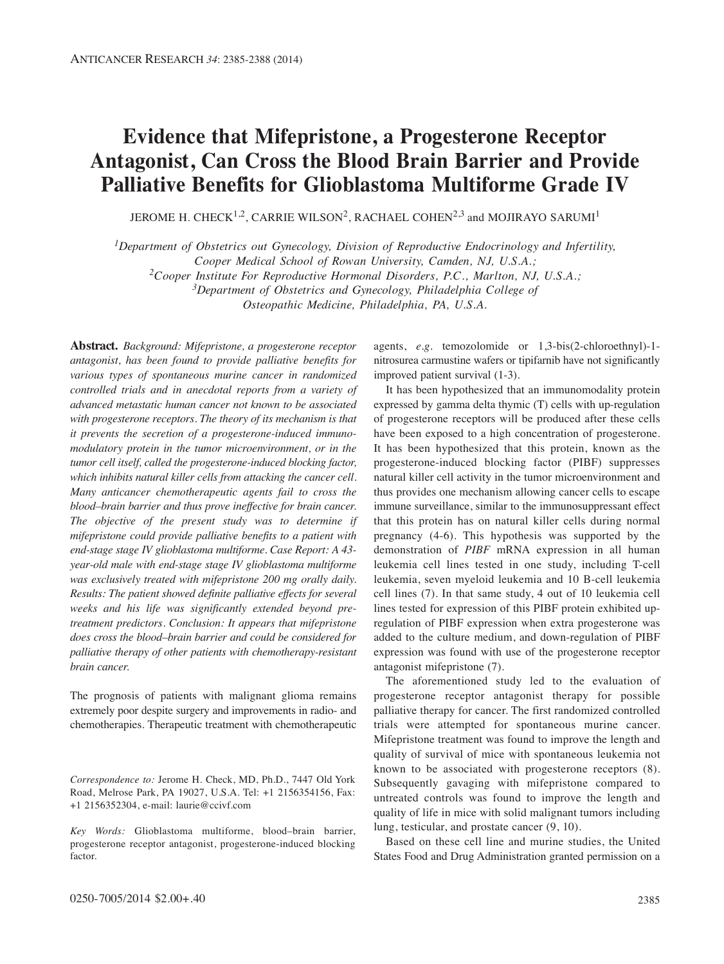## **Evidence that Mifepristone, a Progesterone Receptor Antagonist, Can Cross the Blood Brain Barrier and Provide Palliative Benefits for Glioblastoma Multiforme Grade IV**

JEROME H. CHECK<sup>1,2</sup>, CARRIE WILSON<sup>2</sup>, RACHAEL COHEN<sup>2,3</sup> and MOJIRAYO SARUMI<sup>1</sup>

*1Department of Obstetrics out Gynecology, Division of Reproductive Endocrinology and Infertility,* 

*Cooper Medical School of Rowan University, Camden, NJ, U.S.A.;*

*2Cooper Institute For Reproductive Hormonal Disorders, P.C., Marlton, NJ, U.S.A.;*

*3Department of Obstetrics and Gynecology, Philadelphia College of* 

*Osteopathic Medicine, Philadelphia, PA, U.S.A.*

**Abstract.** *Background: Mifepristone, a progesterone receptor antagonist, has been found to provide palliative benefits for various types of spontaneous murine cancer in randomized controlled trials and in anecdotal reports from a variety of advanced metastatic human cancer not known to be associated with progesterone receptors. The theory of its mechanism is that it prevents the secretion of a progesterone-induced immunomodulatory protein in the tumor microenvironment, or in the tumor cell itself, called the progesterone-induced blocking factor, which inhibits natural killer cells from attacking the cancer cell. Many anticancer chemotherapeutic agents fail to cross the blood–brain barrier and thus prove ineffective for brain cancer. The objective of the present study was to determine if mifepristone could provide palliative benefits to a patient with end-stage stage IV glioblastoma multiforme. Case Report: A 43 year-old male with end-stage stage IV glioblastoma multiforme was exclusively treated with mifepristone 200 mg orally daily. Results: The patient showed definite palliative effects for several weeks and his life was significantly extended beyond pretreatment predictors. Conclusion: It appears that mifepristone does cross the blood–brain barrier and could be considered for palliative therapy of other patients with chemotherapy-resistant brain cancer.*

The prognosis of patients with malignant glioma remains extremely poor despite surgery and improvements in radio- and chemotherapies. Therapeutic treatment with chemotherapeutic

*Key Words:* Glioblastoma multiforme, blood–brain barrier, progesterone receptor antagonist, progesterone-induced blocking factor.

agents, *e.g.* temozolomide or 1,3-bis(2-chloroethnyl)-1 nitrosurea carmustine wafers or tipifarnib have not significantly improved patient survival (1-3).

It has been hypothesized that an immunomodality protein expressed by gamma delta thymic (T) cells with up-regulation of progesterone receptors will be produced after these cells have been exposed to a high concentration of progesterone. It has been hypothesized that this protein, known as the progesterone-induced blocking factor (PIBF) suppresses natural killer cell activity in the tumor microenvironment and thus provides one mechanism allowing cancer cells to escape immune surveillance, similar to the immunosuppressant effect that this protein has on natural killer cells during normal pregnancy (4-6). This hypothesis was supported by the demonstration of *PIBF* mRNA expression in all human leukemia cell lines tested in one study, including T-cell leukemia, seven myeloid leukemia and 10 B-cell leukemia cell lines (7). In that same study, 4 out of 10 leukemia cell lines tested for expression of this PIBF protein exhibited upregulation of PIBF expression when extra progesterone was added to the culture medium, and down-regulation of PIBF expression was found with use of the progesterone receptor antagonist mifepristone (7).

The aforementioned study led to the evaluation of progesterone receptor antagonist therapy for possible palliative therapy for cancer. The first randomized controlled trials were attempted for spontaneous murine cancer. Mifepristone treatment was found to improve the length and quality of survival of mice with spontaneous leukemia not known to be associated with progesterone receptors (8). Subsequently gavaging with mifepristone compared to untreated controls was found to improve the length and quality of life in mice with solid malignant tumors including lung, testicular, and prostate cancer (9, 10).

Based on these cell line and murine studies, the United States Food and Drug Administration granted permission on a

*Correspondence to:* Jerome H. Check, MD, Ph.D., 7447 Old York Road, Melrose Park, PA 19027, U.S.A. Tel: +1 2156354156, Fax: +1 2156352304, e-mail: laurie@ccivf.com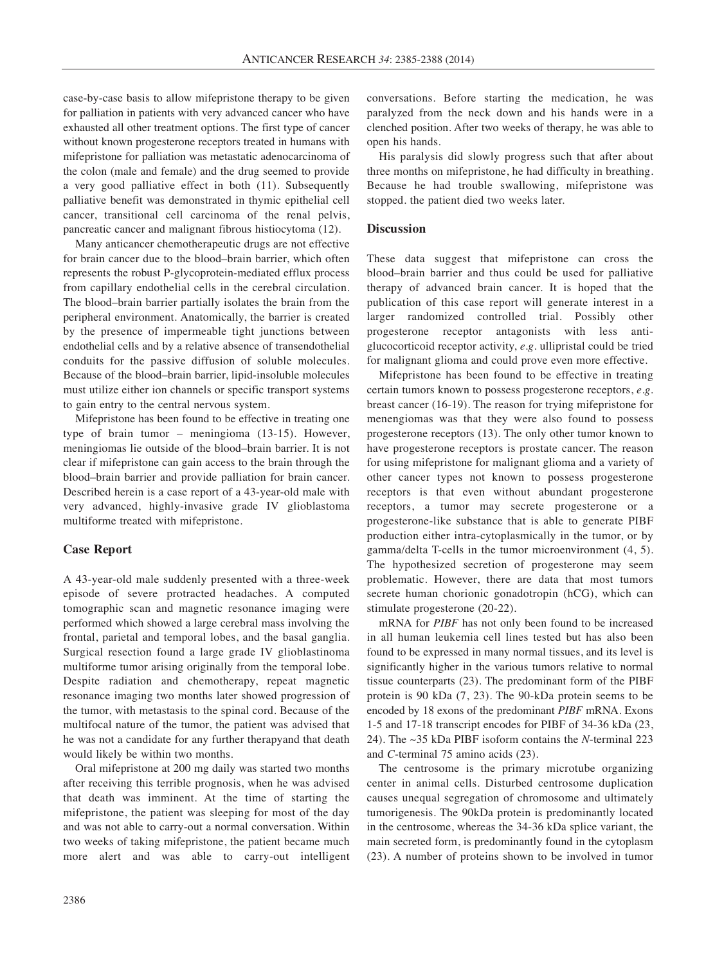case-by-case basis to allow mifepristone therapy to be given for palliation in patients with very advanced cancer who have exhausted all other treatment options. The first type of cancer without known progesterone receptors treated in humans with mifepristone for palliation was metastatic adenocarcinoma of the colon (male and female) and the drug seemed to provide a very good palliative effect in both (11). Subsequently palliative benefit was demonstrated in thymic epithelial cell cancer, transitional cell carcinoma of the renal pelvis, pancreatic cancer and malignant fibrous histiocytoma (12).

Many anticancer chemotherapeutic drugs are not effective for brain cancer due to the blood–brain barrier, which often represents the robust P-glycoprotein-mediated efflux process from capillary endothelial cells in the cerebral circulation. The blood–brain barrier partially isolates the brain from the peripheral environment. Anatomically, the barrier is created by the presence of impermeable tight junctions between endothelial cells and by a relative absence of transendothelial conduits for the passive diffusion of soluble molecules. Because of the blood–brain barrier, lipid-insoluble molecules must utilize either ion channels or specific transport systems to gain entry to the central nervous system.

Mifepristone has been found to be effective in treating one type of brain tumor – meningioma (13-15). However, meningiomas lie outside of the blood–brain barrier. It is not clear if mifepristone can gain access to the brain through the blood–brain barrier and provide palliation for brain cancer. Described herein is a case report of a 43-year-old male with very advanced, highly-invasive grade IV glioblastoma multiforme treated with mifepristone.

## **Case Report**

A 43-year-old male suddenly presented with a three-week episode of severe protracted headaches. A computed tomographic scan and magnetic resonance imaging were performed which showed a large cerebral mass involving the frontal, parietal and temporal lobes, and the basal ganglia. Surgical resection found a large grade IV glioblastinoma multiforme tumor arising originally from the temporal lobe. Despite radiation and chemotherapy, repeat magnetic resonance imaging two months later showed progression of the tumor, with metastasis to the spinal cord. Because of the multifocal nature of the tumor, the patient was advised that he was not a candidate for any further therapyand that death would likely be within two months.

Oral mifepristone at 200 mg daily was started two months after receiving this terrible prognosis, when he was advised that death was imminent. At the time of starting the mifepristone, the patient was sleeping for most of the day and was not able to carry-out a normal conversation. Within two weeks of taking mifepristone, the patient became much more alert and was able to carry-out intelligent conversations. Before starting the medication, he was paralyzed from the neck down and his hands were in a clenched position. After two weeks of therapy, he was able to open his hands.

His paralysis did slowly progress such that after about three months on mifepristone, he had difficulty in breathing. Because he had trouble swallowing, mifepristone was stopped. the patient died two weeks later.

## **Discussion**

These data suggest that mifepristone can cross the blood–brain barrier and thus could be used for palliative therapy of advanced brain cancer. It is hoped that the publication of this case report will generate interest in a larger randomized controlled trial. Possibly other progesterone receptor antagonists with less antiglucocorticoid receptor activity, *e.g.* ullipristal could be tried for malignant glioma and could prove even more effective.

Mifepristone has been found to be effective in treating certain tumors known to possess progesterone receptors, *e.g.* breast cancer (16-19). The reason for trying mifepristone for menengiomas was that they were also found to possess progesterone receptors (13). The only other tumor known to have progesterone receptors is prostate cancer. The reason for using mifepristone for malignant glioma and a variety of other cancer types not known to possess progesterone receptors is that even without abundant progesterone receptors, a tumor may secrete progesterone or a progesterone-like substance that is able to generate PIBF production either intra-cytoplasmically in the tumor, or by gamma/delta T-cells in the tumor microenvironment (4, 5). The hypothesized secretion of progesterone may seem problematic. However, there are data that most tumors secrete human chorionic gonadotropin (hCG), which can stimulate progesterone (20-22).

mRNA for *PIBF* has not only been found to be increased in all human leukemia cell lines tested but has also been found to be expressed in many normal tissues, and its level is significantly higher in the various tumors relative to normal tissue counterparts (23). The predominant form of the PIBF protein is 90 kDa (7, 23). The 90-kDa protein seems to be encoded by 18 exons of the predominant *PIBF* mRNA. Exons 1-5 and 17-18 transcript encodes for PIBF of 34-36 kDa (23, 24). The ~35 kDa PIBF isoform contains the *N*-terminal 223 and *C*-terminal 75 amino acids (23).

The centrosome is the primary microtube organizing center in animal cells. Disturbed centrosome duplication causes unequal segregation of chromosome and ultimately tumorigenesis. The 90kDa protein is predominantly located in the centrosome, whereas the 34-36 kDa splice variant, the main secreted form, is predominantly found in the cytoplasm (23). A number of proteins shown to be involved in tumor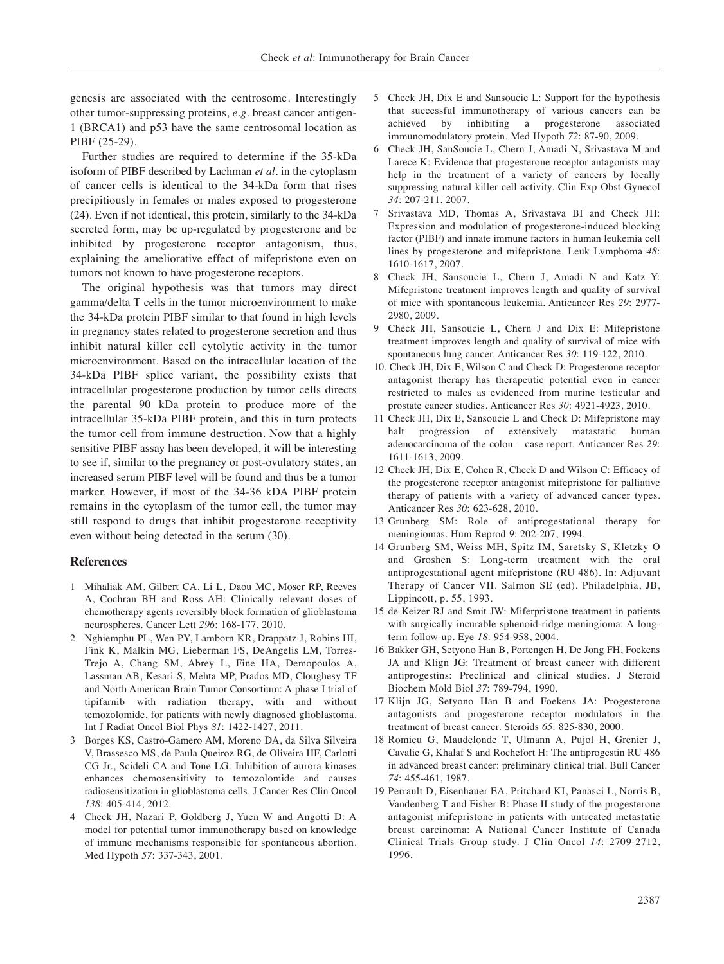genesis are associated with the centrosome. Interestingly other tumor-suppressing proteins, *e.g.* breast cancer antigen-1 (BRCA1) and p53 have the same centrosomal location as PIBF (25-29).

Further studies are required to determine if the 35-kDa isoform of PIBF described by Lachman *et al.* in the cytoplasm of cancer cells is identical to the 34-kDa form that rises precipitiously in females or males exposed to progesterone (24). Even if not identical, this protein, similarly to the 34-kDa secreted form, may be up-regulated by progesterone and be inhibited by progesterone receptor antagonism, thus, explaining the ameliorative effect of mifepristone even on tumors not known to have progesterone receptors.

The original hypothesis was that tumors may direct gamma/delta T cells in the tumor microenvironment to make the 34-kDa protein PIBF similar to that found in high levels in pregnancy states related to progesterone secretion and thus inhibit natural killer cell cytolytic activity in the tumor microenvironment. Based on the intracellular location of the 34-kDa PIBF splice variant, the possibility exists that intracellular progesterone production by tumor cells directs the parental 90 kDa protein to produce more of the intracellular 35-kDa PIBF protein, and this in turn protects the tumor cell from immune destruction. Now that a highly sensitive PIBF assay has been developed, it will be interesting to see if, similar to the pregnancy or post-ovulatory states, an increased serum PIBF level will be found and thus be a tumor marker. However, if most of the 34-36 kDA PIBF protein remains in the cytoplasm of the tumor cell, the tumor may still respond to drugs that inhibit progesterone receptivity even without being detected in the serum (30).

## **References**

- 1 Mihaliak AM, Gilbert CA, Li L, Daou MC, Moser RP, Reeves A, Cochran BH and Ross AH: Clinically relevant doses of chemotherapy agents reversibly block formation of glioblastoma neurospheres. Cancer Lett *296*: 168-177, 2010.
- 2 Nghiemphu PL, Wen PY, Lamborn KR, Drappatz J, Robins HI, Fink K, Malkin MG, Lieberman FS, DeAngelis LM, Torres-Trejo A, Chang SM, Abrey L, Fine HA, Demopoulos A, Lassman AB, Kesari S, Mehta MP, Prados MD, Cloughesy TF and North American Brain Tumor Consortium: A phase I trial of tipifarnib with radiation therapy, with and without temozolomide, for patients with newly diagnosed glioblastoma. Int J Radiat Oncol Biol Phys *81*: 1422-1427, 2011.
- 3 Borges KS, Castro-Gamero AM, Moreno DA, da Silva Silveira V, Brassesco MS, de Paula Queiroz RG, de Oliveira HF, Carlotti CG Jr., Scideli CA and Tone LG: Inhibition of aurora kinases enhances chemosensitivity to temozolomide and causes radiosensitization in glioblastoma cells. J Cancer Res Clin Oncol *138*: 405-414, 2012.
- 4 Check JH, Nazari P, Goldberg J, Yuen W and Angotti D: A model for potential tumor immunotherapy based on knowledge of immune mechanisms responsible for spontaneous abortion. Med Hypoth *57*: 337-343, 2001.
- 5 Check JH, Dix E and Sansoucie L: Support for the hypothesis that successful immunotherapy of various cancers can be achieved by inhibiting a progesterone associated immunomodulatory protein. Med Hypoth *72*: 87-90, 2009.
- 6 Check JH, SanSoucie L, Chern J, Amadi N, Srivastava M and Larece K: Evidence that progesterone receptor antagonists may help in the treatment of a variety of cancers by locally suppressing natural killer cell activity. Clin Exp Obst Gynecol *34*: 207-211, 2007.
- 7 Srivastava MD, Thomas A, Srivastava BI and Check JH: Expression and modulation of progesterone-induced blocking factor (PIBF) and innate immune factors in human leukemia cell lines by progesterone and mifepristone. Leuk Lymphoma *48*: 1610-1617, 2007.
- 8 Check JH, Sansoucie L, Chern J, Amadi N and Katz Y: Mifepristone treatment improves length and quality of survival of mice with spontaneous leukemia. Anticancer Res *29*: 2977- 2980, 2009.
- 9 Check JH, Sansoucie L, Chern J and Dix E: Mifepristone treatment improves length and quality of survival of mice with spontaneous lung cancer. Anticancer Res *30*: 119-122, 2010.
- 10. Check JH, Dix E, Wilson C and Check D: Progesterone receptor antagonist therapy has therapeutic potential even in cancer restricted to males as evidenced from murine testicular and prostate cancer studies. Anticancer Res *30*: 4921-4923, 2010.
- 11 Check JH, Dix E, Sansoucie L and Check D: Mifepristone may halt progression of extensively matastatic human adenocarcinoma of the colon – case report. Anticancer Res *29*: 1611-1613, 2009.
- 12 Check JH, Dix E, Cohen R, Check D and Wilson C: Efficacy of the progesterone receptor antagonist mifepristone for palliative therapy of patients with a variety of advanced cancer types. Anticancer Res *30*: 623-628, 2010.
- 13 Grunberg SM: Role of antiprogestational therapy for meningiomas. Hum Reprod *9*: 202-207, 1994.
- 14 Grunberg SM, Weiss MH, Spitz IM, Saretsky S, Kletzky O and Groshen S: Long-term treatment with the oral antiprogestational agent mifepristone (RU 486). In: Adjuvant Therapy of Cancer VII. Salmon SE (ed). Philadelphia, JB, Lippincott, p. 55, 1993.
- 15 de Keizer RJ and Smit JW: Miferpristone treatment in patients with surgically incurable sphenoid-ridge meningioma: A longterm follow-up. Eye *18*: 954-958, 2004.
- 16 Bakker GH, Setyono Han B, Portengen H, De Jong FH, Foekens JA and Klign JG: Treatment of breast cancer with different antiprogestins: Preclinical and clinical studies. J Steroid Biochem Mold Biol *37*: 789-794, 1990.
- 17 Klijn JG, Setyono Han B and Foekens JA: Progesterone antagonists and progesterone receptor modulators in the treatment of breast cancer. Steroids *65*: 825-830, 2000.
- 18 Romieu G, Maudelonde T, Ulmann A, Pujol H, Grenier J, Cavalie G, Khalaf S and Rochefort H: The antiprogestin RU 486 in advanced breast cancer: preliminary clinical trial. Bull Cancer *74*: 455-461, 1987.
- 19 Perrault D, Eisenhauer EA, Pritchard KI, Panasci L, Norris B, Vandenberg T and Fisher B: Phase II study of the progesterone antagonist mifepristone in patients with untreated metastatic breast carcinoma: A National Cancer Institute of Canada Clinical Trials Group study. J Clin Oncol *14*: 2709-2712, 1996.